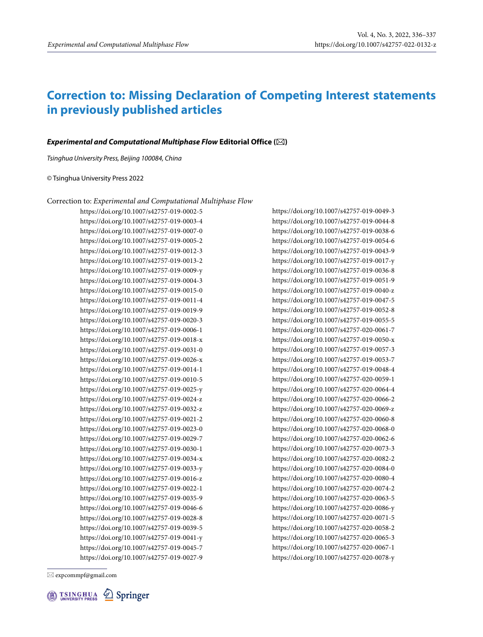# **Correction to: Missing Declaration of Competing Interest statements in previously published articles**

## **Experimental and Computational Multiphase Flow Editorial Office ()**

Tsinghua University Press, Beijing 100084, China

### © Tsinghua University Press 2022

## Correction to: *Experimental and Computational Multiphase Flow*

https://doi.org/10.1007/s42757-019-0002-5 https://doi.org/10.1007/s42757-019-0003-4 https://doi.org/10.1007/s42757-019-0007-0 https://doi.org/10.1007/s42757-019-0005-2 https://doi.org/10.1007/s42757-019-0012-3 https://doi.org/10.1007/s42757-019-0013-2 https://doi.org/10.1007/s42757-019-0009-y https://doi.org/10.1007/s42757-019-0004-3 https://doi.org/10.1007/s42757-019-0015-0 https://doi.org/10.1007/s42757-019-0011-4 https://doi.org/10.1007/s42757-019-0019-9 https://doi.org/10.1007/s42757-019-0020-3 https://doi.org/10.1007/s42757-019-0006-1 https://doi.org/10.1007/s42757-019-0018-x https://doi.org/10.1007/s42757-019-0031-0 https://doi.org/10.1007/s42757-019-0026-x https://doi.org/10.1007/s42757-019-0014-1 https://doi.org/10.1007/s42757-019-0010-5 https://doi.org/10.1007/s42757-019-0025-y https://doi.org/10.1007/s42757-019-0024-z https://doi.org/10.1007/s42757-019-0032-z https://doi.org/10.1007/s42757-019-0021-2 https://doi.org/10.1007/s42757-019-0023-0 https://doi.org/10.1007/s42757-019-0029-7 https://doi.org/10.1007/s42757-019-0030-1 https://doi.org/10.1007/s42757-019-0034-x https://doi.org/10.1007/s42757-019-0033-y https://doi.org/10.1007/s42757-019-0016-z https://doi.org/10.1007/s42757-019-0022-1 https://doi.org/10.1007/s42757-019-0035-9 https://doi.org/10.1007/s42757-019-0046-6 https://doi.org/10.1007/s42757-019-0028-8 https://doi.org/10.1007/s42757-019-0039-5 https://doi.org/10.1007/s42757-019-0041-y https://doi.org/10.1007/s42757-019-0045-7 https://doi.org/10.1007/s42757-019-0027-9 https://doi.org/10.1007/s42757-019-0049-3 https://doi.org/10.1007/s42757-019-0044-8 https://doi.org/10.1007/s42757-019-0038-6 https://doi.org/10.1007/s42757-019-0054-6 https://doi.org/10.1007/s42757-019-0043-9 https://doi.org/10.1007/s42757-019-0017-y https://doi.org/10.1007/s42757-019-0036-8 https://doi.org/10.1007/s42757-019-0051-9 https://doi.org/10.1007/s42757-019-0040-z https://doi.org/10.1007/s42757-019-0047-5 https://doi.org/10.1007/s42757-019-0052-8 https://doi.org/10.1007/s42757-019-0055-5 https://doi.org/10.1007/s42757-020-0061-7 https://doi.org/10.1007/s42757-019-0050-x https://doi.org/10.1007/s42757-019-0057-3 https://doi.org/10.1007/s42757-019-0053-7 https://doi.org/10.1007/s42757-019-0048-4 https://doi.org/10.1007/s42757-020-0059-1 https://doi.org/10.1007/s42757-020-0064-4 https://doi.org/10.1007/s42757-020-0066-2 https://doi.org/10.1007/s42757-020-0069-z https://doi.org/10.1007/s42757-020-0060-8 https://doi.org/10.1007/s42757-020-0068-0 https://doi.org/10.1007/s42757-020-0062-6 https://doi.org/10.1007/s42757-020-0073-3 https://doi.org/10.1007/s42757-020-0082-2 https://doi.org/10.1007/s42757-020-0084-0 https://doi.org/10.1007/s42757-020-0080-4 https://doi.org/10.1007/s42757-020-0074-2 https://doi.org/10.1007/s42757-020-0063-5 https://doi.org/10.1007/s42757-020-0086-y https://doi.org/10.1007/s42757-020-0071-5 https://doi.org/10.1007/s42757-020-0058-2 https://doi.org/10.1007/s42757-020-0065-3 https://doi.org/10.1007/s42757-020-0067-1

https://doi.org/10.1007/s42757-020-0078-y

 $\boxtimes$  expcommpf@gmail.com